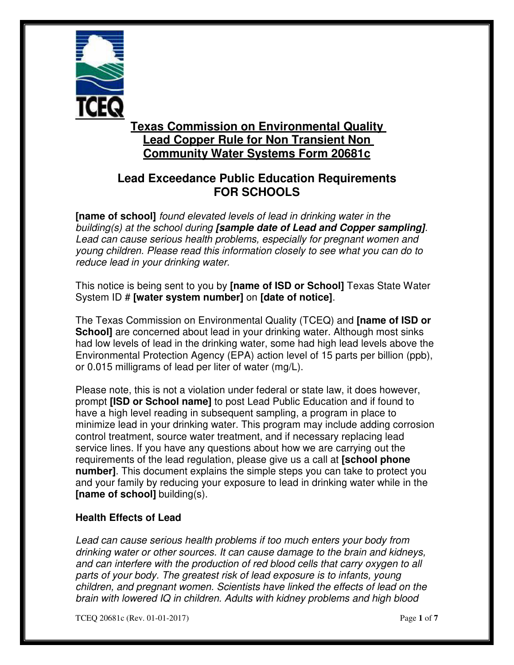

# **Texas Commission on Environmental Quality Lead Copper Rule for Non Transient Non Community Water Systems Form 20681c**

# **Lead Exceedance Public Education Requirements FOR SCHOOLS**

 **[name of school]** found elevated levels of lead in drinking water in the building(s) at the school during **[sample date of Lead and Copper sampling]**. Lead can cause serious health problems, especially for pregnant women and young children. Please read this information closely to see what you can do to reduce lead in your drinking water.

 This notice is being sent to you by **[name of ISD or School]** Texas State Water System ID # **[water system number]** on **[date of notice]**.

 The Texas Commission on Environmental Quality (TCEQ) and **[name of ISD or School]** are concerned about lead in your drinking water. Although most sinks had low levels of lead in the drinking water, some had high lead levels above the Environmental Protection Agency (EPA) action level of 15 parts per billion (ppb), or 0.015 milligrams of lead per liter of water (mg/L).

 Please note, this is not a violation under federal or state law, it does however,  prompt **[ISD or School name]** to post Lead Public Education and if found to have a high level reading in subsequent sampling, a program in place to minimize lead in your drinking water. This program may include adding corrosion control treatment, source water treatment, and if necessary replacing lead service lines. If you have any questions about how we are carrying out the requirements of the lead regulation, please give us a call at **[school phone number]**. This document explains the simple steps you can take to protect you and your family by reducing your exposure to lead in drinking water while in the  **[name of school]** building(s).

### **Health Effects of Lead**

 Lead can cause serious health problems if too much enters your body from drinking water or other sources. It can cause damage to the brain and kidneys, and can interfere with the production of red blood cells that carry oxygen to all parts of your body. The greatest risk of lead exposure is to infants, young children, and pregnant women. Scientists have linked the effects of lead on the brain with lowered IQ in children. Adults with kidney problems and high blood

TCEQ 20681c (Rev. 01-01-2017) Page **1** of **7**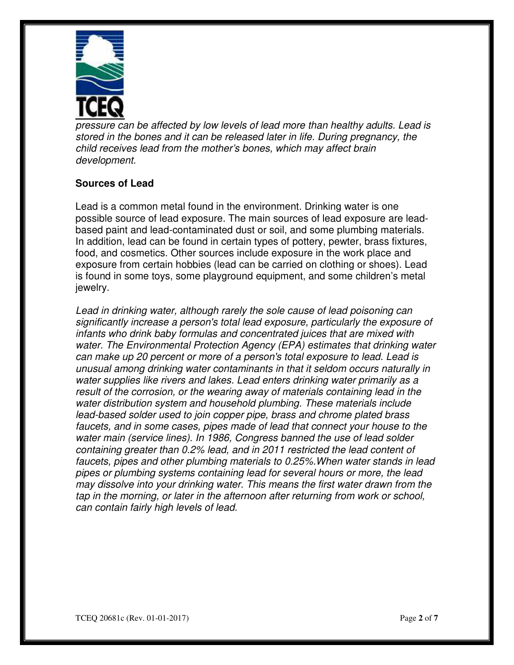

 pressure can be affected by low levels of lead more than healthy adults. Lead is stored in the bones and it can be released later in life. During pregnancy, the child receives lead from the mother's bones, which may affect brain development.

## **Sources of Lead**

 Lead is a common metal found in the environment. Drinking water is one possible source of lead exposure. The main sources of lead exposure are lead- based paint and lead-contaminated dust or soil, and some plumbing materials. In addition, lead can be found in certain types of pottery, pewter, brass fixtures, food, and cosmetics. Other sources include exposure in the work place and exposure from certain hobbies (lead can be carried on clothing or shoes). Lead is found in some toys, some playground equipment, and some children's metal jewelry.

 Lead in drinking water, although rarely the sole cause of lead poisoning can significantly increase a person's total lead exposure, particularly the exposure of infants who drink baby formulas and concentrated juices that are mixed with water. The Environmental Protection Agency (EPA) estimates that drinking water can make up 20 percent or more of a person's total exposure to lead. Lead is unusual among drinking water contaminants in that it seldom occurs naturally in water supplies like rivers and lakes. Lead enters drinking water primarily as a result of the corrosion, or the wearing away of materials containing lead in the water distribution system and household plumbing. These materials include lead-based solder used to join copper pipe, brass and chrome plated brass faucets, and in some cases, pipes made of lead that connect your house to the water main (service lines). In 1986, Congress banned the use of lead solder containing greater than 0.2% lead, and in 2011 restricted the lead content of faucets, pipes and other plumbing materials to 0.25%.When water stands in lead pipes or plumbing systems containing lead for several hours or more, the lead may dissolve into your drinking water. This means the first water drawn from the tap in the morning, or later in the afternoon after returning from work or school, can contain fairly high levels of lead.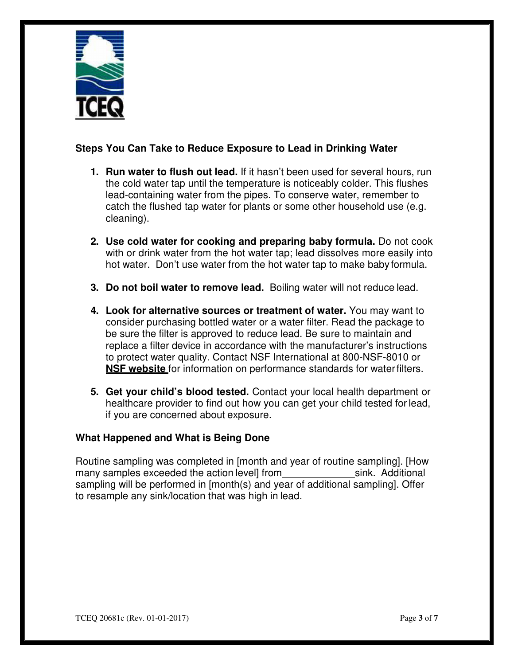

### **Steps You Can Take to Reduce Exposure to Lead in Drinking Water**

- **1. Run water to flush out lead.** If it hasn't been used for several hours, run the cold water tap until the temperature is noticeably colder. This flushes lead-containing water from the pipes. To conserve water, remember to catch the flushed tap water for plants or some other household use (e.g. cleaning).
- **2. Use cold water for cooking and preparing baby formula.** Do not cook with or drink water from the hot water tap; lead dissolves more easily into hot water. Don't use water from the hot water tap to make babyformula.
- **3. Do not boil water to remove lead.** Boiling water will not reduce lead.
- **4. Look for alternative sources or treatment of water.** You may want to consider purchasing bottled water or a water filter. Read the package to be sure the filter is approved to reduce lead. Be sure to maintain and replace a filter device in accordance with the manufacturer's instructions to protect water quality. Contact NSF International at 800-NSF-8010 or **NSF website** for information on performance standards for water filters.
- **5. Get your child's blood tested.** Contact your local health department or healthcare provider to find out how you can get your child tested for lead, if you are concerned about exposure.

### **What Happened and What is Being Done**

 Routine sampling was completed in [month and year of routine sampling]. [How many samples exceeded the action level] from sink. Additional sampling will be performed in [month(s) and year of additional sampling]. Offer to resample any sink/location that was high in lead.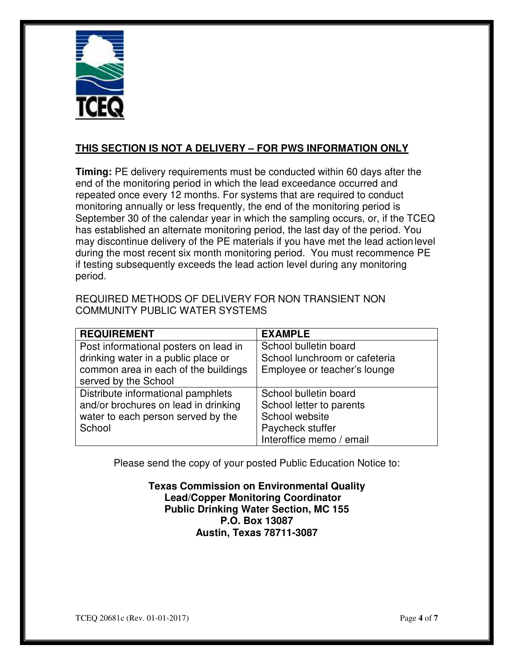

## **THIS SECTION IS NOT A DELIVERY – FOR PWS INFORMATION ONLY**

 **Timing:** PE delivery requirements must be conducted within 60 days after the end of the monitoring period in which the lead exceedance occurred and repeated once every 12 months. For systems that are required to conduct monitoring annually or less frequently, the end of the monitoring period is September 30 of the calendar year in which the sampling occurs, or, if the TCEQ has established an alternate monitoring period, the last day of the period. You may discontinue delivery of the PE materials if you have met the lead action level during the most recent six month monitoring period. You must recommence PE if testing subsequently exceeds the lead action level during any monitoring period.

| REQUIRED METHODS OF DELIVERY FOR NON TRANSIENT NON |
|----------------------------------------------------|
| COMMUNITY PUBLIC WATER SYSTEMS                     |

| <b>REQUIREMENT</b>                    | <b>EXAMPLE</b>                |
|---------------------------------------|-------------------------------|
| Post informational posters on lead in | School bulletin board         |
| drinking water in a public place or   | School lunchroom or cafeteria |
| common area in each of the buildings  | Employee or teacher's lounge  |
| served by the School                  |                               |
| Distribute informational pamphlets    | School bulletin board         |
| and/or brochures on lead in drinking  | School letter to parents      |
| water to each person served by the    | School website                |
| School                                | Paycheck stuffer              |
|                                       | Interoffice memo / email      |

Please send the copy of your posted Public Education Notice to:

 **Texas Commission on Environmental Quality Public Drinking Water Section, MC 155 P.O. Box 13087 Austin, Texas 78711-3087 Lead/Copper Monitoring Coordinator**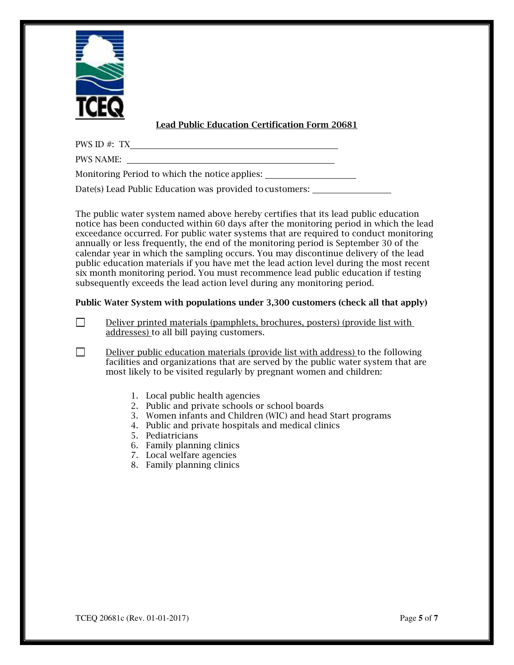

#### **Lead Public Education Certification Form 20681**

PWS ID #: TX

PWS NAME:

Monitoring Period to which the notice applies:

Date(s) Lead Public Education was provided to customers:

 The public water system named above hereby certifies that its lead public education notice has been conducted within 60 days after the monitoring period in which the lead exceedance occurred. For public water systems that are required to conduct monitoring annually or less frequently, the end of the monitoring period is September 30 of the calendar year in which the sampling occurs. You may discontinue delivery of the lead public education materials if you have met the lead action level during the most recent six month monitoring period. You must recommence lead public education if testing subsequently exceeds the lead action level during any monitoring period.

#### **Public Water System with populations under 3,300 customers (check all that apply)**

 Deliver printed materials (pamphlets, brochures, posters) (provide list with addresses) to all bill paying customers. □

 Deliver public education materials (provide list with address) to the following facilities and organizations that are served by the public water system that are most likely to be visited regularly by pregnant women and children: □

- 1. Local public health agencies
- 2. Public and private schools or school boards
- 3. Women infants and Children (WIC) and head Start programs
- 4. Public and private hospitals and medical clinics
- 5. Pediatricians
- 6. Family planning clinics
- 7. Local welfare agencies
- 8. Family planning clinics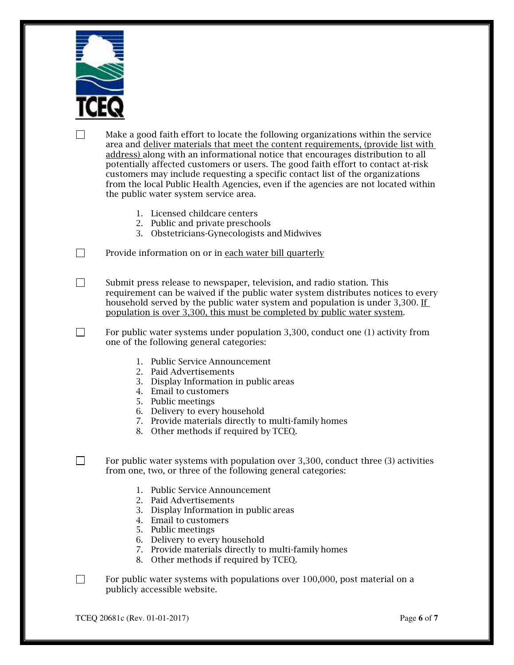

 Make a good faith effort to locate the following organizations within the service area and <u>deliver materials that meet the content requirements, (provide list with</u> address) along with an informational notice that encourages distribution to all potentially affected customers or users. The good faith effort to contact at-risk customers may include requesting a specific contact list of the organizations from the local Public Health Agencies, even if the agencies are not located within the public water system service area. □

- 1. Licensed childcare centers
- 2. Public and private preschools
- 3. Obstetricians-Gynecologists and Midwives

Provide information on or in <u>each water bill quarterly</u> □

 Submit press release to newspaper, television, and radio station. This requirement can be waived if the public water system distributes notices to every household served by the public water system and population is under 3,300. If population is over 3,300, this must be completed by public water system. □

 For public water systems under population 3,300, conduct one (1) activity from one of the following general categories: □

- 1. Public Service Announcement
- 2. Paid Advertisements
- 3. Display Information in public areas
- 4. Email to customers
- 5. Public meetings
- 6. Delivery to every household
- 7. Provide materials directly to multi-family homes
- 8. Other methods if required by TCEQ.

 For public water systems with population over 3,300, conduct three (3) activities from one, two, or three of the following general categories: □

- 1. Public Service Announcement
- 2. Paid Advertisements
- 3. Display Information in public areas
- 4. Email to customers
- 5. Public meetings
- 6. Delivery to every household
- 7. Provide materials directly to multi-family homes
- 8. Other methods if required by TCEQ.

 For public water systems with populations over 100,000, post material on a publicly accessible website. □

TCEQ 20681c (Rev. 01-01-2017) Page **6** of **7**